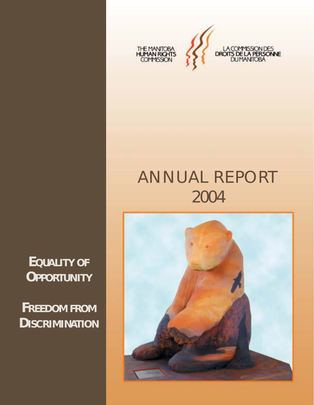

# ANNUAL REPORT 2004

**EQUALITY OF OPPORTUNITY**

**FREEDOM FROM DISCRIMINATION**

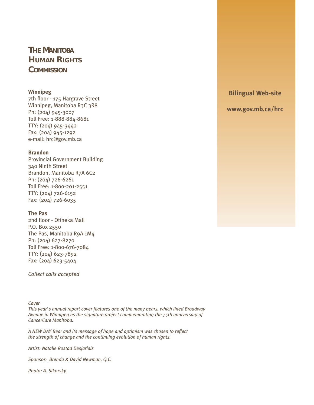# **THE MANITOBA HUMAN RIGHTS COMMISSION**

#### **Winnipeg**

7th floor - 175 Hargrave Street Winnipeg, Manitoba R3C 3R8 Ph: (204) 945-3007 Toll Free: 1-888-884-8681 TTY: (204) 945-3442 Fax: (204) 945-1292 e-mail: hrc@gov.mb.ca

#### **Brandon**

Provincial Government Building 340 Ninth Street Brandon, Manitoba R7A 6C2 Ph: (204) 726-6261 Toll Free: 1-800-201-2551 TTY: (204) 726-6152 Fax: (204) 726-6035

#### **The Pas**

2nd floor - Otineka Mall P.O. Box 2550 The Pas, Manitoba R9A 1M4 Ph: (204) 627-8270 Toll Free: 1-800-676-7084 TTY: (204) 623-7892 Fax: (204) 623-5404

*Collect calls accepted*

#### *Cover*

*This year's annual report cover features one of the many bears, which lined Broadway Avenue in Winnipeg as the signature project commemorating the 75th anniversary of CancerCare Manitoba.* 

*A NEW DAY Bear and its message of hope and optimism was chosen to reflect the strength of change and the continuing evolution of human rights.*

*Artist: Natalie Rostad Desjarlais*

*Sponsor: Brenda & David Newman, Q.C.*

*Photo: A. Sikorsky*

**Bilingual Web-site**

**www.gov.mb.ca/hrc**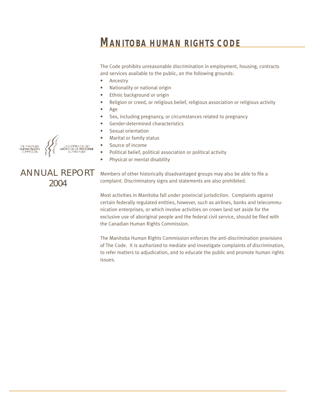# **MANITOBA HUMAN RIGHTS CODE**

The Code prohibits unreasonable discrimination in employment, housing, contracts and services available to the public, on the following grounds:

- Ancestry
- Nationality or national origin
- Ethnic background or origin
- Religion or creed, or religious belief, religious association or religious activity
- Age
- Sex, including pregnancy, or circumstances related to pregnancy
- Gender-determined characteristics
- Sexual orientation
- Marital or family status
- Source of income
- Political belief, political association or political activity
- Physical or mental disability

ANNUAL REPORT 2004

Members of other historically disadvantaged groups may also be able to file a complaint. Discriminatory signs and statements are also prohibited.

Most activities in Manitoba fall under provincial jurisdiction. Complaints against certain federally regulated entities, however, such as airlines, banks and telecommunication enterprises, or which involve activities on crown land set aside for the exclusive use of aboriginal people and the federal civil service, should be filed with the Canadian Human Rights Commission.

The Manitoba Human Rights Commission enforces the anti-discrimination provisions of The Code. It is authorized to mediate and investigate complaints of discrimination, to refer matters to adjudication, and to educate the public and promote human rights issues.

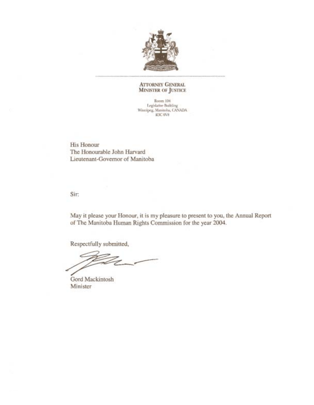

#### **ATTORNEY GENERAL MINISTER OF JUSTICE**

Room 104 Legislative Building<br>Winnipeg, Manitoba, CANADA<br>R3C 0V8

**His Honour** The Honourable John Harvard Lieutenant-Governor of Manitoba

Sir:

May it please your Honour, it is my pleasure to present to you, the Annual Report of The Manitoba Human Rights Commission for the year 2004.

Respectfully submitted,

Gord Mackintosh Minister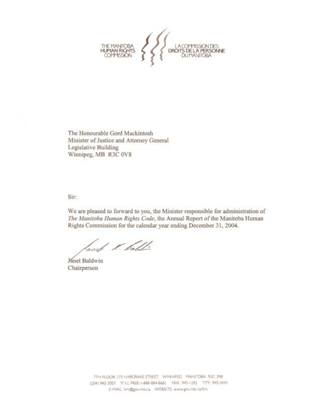

The Honourable Gord Mackintosh Minister of Justice and Attorney General Legislative Building Winnipeg, MB R3C 0V8

Sir:

We are pleased to forward to you, the Minister responsible for administration of The Manitoba Human Rights Code, the Annual Report of the Manitoba Human Rights Commission for the calendar year ending December 31, 2004.

and K. ball

**Janet Baldwin** Chairperson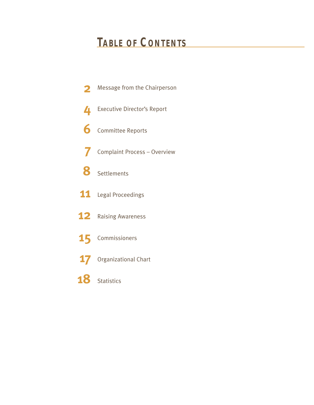# **TABLE OF CONTENTS**

- Message from the Chairperson **2**
- Executive Director's Report **4**
- Committee Reports **6**
- Complaint Process Overview **7**
- Settlements **8**
- **11** Legal Proceedings
- 12 Raising Awareness
- Commissioners **15**
- Organizational Chart **17**
- Statistics **18**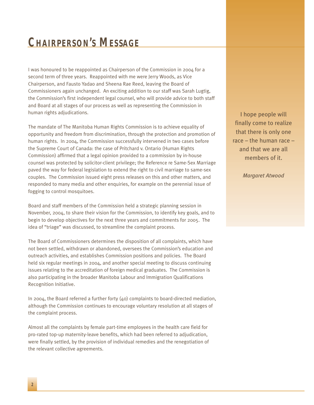# **CHAIRPERSON'S MESSAGE**

I was honoured to be reappointed as Chairperson of the Commission in 2004 for a second term of three years. Reappointed with me were Jerry Woods, as Vice Chairperson, and Fausto Yadao and Sheena Rae Reed, leaving the Board of Commissioners again unchanged. An exciting addition to our staff was Sarah Lugtig, the Commission's first independent legal counsel, who will provide advice to both staff and Board at all stages of our process as well as representing the Commission in human rights adjudications.

The mandate of The Manitoba Human Rights Commission is to achieve equality of opportunity and freedom from discrimination, through the protection and promotion of human rights. In 2004, the Commission successfully intervened in two cases before the Supreme Court of Canada: the case of Pritchard v. Ontario (Human Rights Commission) affirmed that a legal opinion provided to a commission by in-house counsel was protected by solicitor-client privilege; the Reference re Same-Sex Marriage paved the way for federal legislation to extend the right to civil marriage to same-sex couples. The Commission issued eight press releases on this and other matters, and responded to many media and other enquiries, for example on the perennial issue of fogging to control mosquitoes.

Board and staff members of the Commission held a strategic planning session in November, 2004, to share their vision for the Commission, to identify key goals, and to begin to develop objectives for the next three years and commitments for 2005. The idea of "triage" was discussed, to streamline the complaint process.

The Board of Commissioners determines the disposition of all complaints, which have not been settled, withdrawn or abandoned, oversees the Commission's education and outreach activities, and establishes Commission positions and policies. The Board held six regular meetings in 2004, and another special meeting to discuss continuing issues relating to the accreditation of foreign medical graduates. The Commission is also participating in the broader Manitoba Labour and Immigration Qualifications Recognition Initiative.

In 2004, the Board referred a further forty (40) complaints to board-directed mediation, although the Commission continues to encourage voluntary resolution at all stages of the complaint process.

Almost all the complaints by female part-time employees in the health care field for pro-rated top-up maternity-leave benefits, which had been referred to adjudication, were finally settled, by the provision of individual remedies and the renegotiation of the relevant collective agreements.

I hope people will finally come to realize that there is only one race – the human race – and that we are all members of it.

*Margaret Atwood*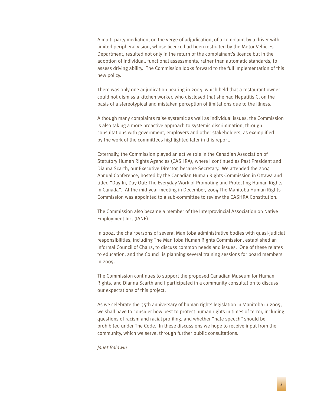A multi-party mediation, on the verge of adjudication, of a complaint by a driver with limited peripheral vision, whose licence had been restricted by the Motor Vehicles Department, resulted not only in the return of the complainant's licence but in the adoption of individual, functional assessments, rather than automatic standards, to assess driving ability. The Commission looks forward to the full implementation of this new policy.

There was only one adjudication hearing in 2004, which held that a restaurant owner could not dismiss a kitchen worker, who disclosed that she had Hepatitis C, on the basis of a stereotypical and mistaken perception of limitations due to the illness.

Although many complaints raise systemic as well as individual issues, the Commission is also taking a more proactive approach to systemic discrimination, through consultations with government, employers and other stakeholders, as exemplified by the work of the committees highlighted later in this report.

Externally, the Commission played an active role in the Canadian Association of Statutory Human Rights Agencies (CASHRA), where I continued as Past President and Dianna Scarth, our Executive Director, became Secretary. We attended the 2004 Annual Conference, hosted by the Canadian Human Rights Commission in Ottawa and titled "Day In, Day Out: The Everyday Work of Promoting and Protecting Human Rights in Canada". At the mid-year meeting in December, 2004 The Manitoba Human Rights Commission was appointed to a sub-committee to review the CASHRA Constitution.

The Commission also became a member of the Interprovincial Association on Native Employment Inc. (IANE).

In 2004, the chairpersons of several Manitoba administrative bodies with quasi-judicial responsibilities, including The Manitoba Human Rights Commission, established an informal Council of Chairs, to discuss common needs and issues. One of these relates to education, and the Council is planning several training sessions for board members in 2005.

The Commission continues to support the proposed Canadian Museum for Human Rights, and Dianna Scarth and I participated in a community consultation to discuss our expectations of this project.

As we celebrate the 35th anniversary of human rights legislation in Manitoba in 2005, we shall have to consider how best to protect human rights in times of terror, including questions of racism and racial profiling, and whether "hate speech" should be prohibited under The Code. In these discussions we hope to receive input from the community, which we serve, through further public consultations.

*Janet Baldwin*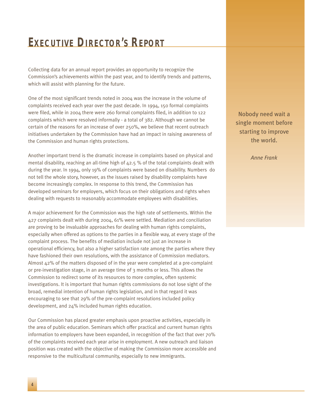# **EXECUTIVE DIRECTOR'S REPORT**

Collecting data for an annual report provides an opportunity to recognize the Commission's achievements within the past year, and to identify trends and patterns, which will assist with planning for the future.

One of the most significant trends noted in 2004 was the increase in the volume of complaints received each year over the past decade. In 1994, 150 formal complaints were filed, while in 2004 there were 260 formal complaints filed, in addition to 122 complaints which were resolved informally - a total of 382. Although we cannot be certain of the reasons for an increase of over 250%, we believe that recent outreach initiatives undertaken by the Commission have had an impact in raising awareness of the Commission and human rights protections.

Another important trend is the dramatic increase in complaints based on physical and mental disability, reaching an all-time high of 42.5 % of the total complaints dealt with during the year. In 1994, only 19% of complaints were based on disability. Numbers do not tell the whole story, however, as the issues raised by disability complaints have become increasingly complex. In response to this trend, the Commission has developed seminars for employers, which focus on their obligations and rights when dealing with requests to reasonably accommodate employees with disabilities.

A major achievement for the Commission was the high rate of settlements. Within the 427 complaints dealt with during 2004, 61% were settled. Mediation and conciliation are proving to be invaluable approaches for dealing with human rights complaints, especially when offered as options to the parties in a flexible way, at every stage of the complaint process. The benefits of mediation include not just an increase in operational efficiency, but also a higher satisfaction rate among the parties where they have fashioned their own resolutions, with the assistance of Commission mediators. Almost 42% of the matters disposed of in the year were completed at a pre-complaint or pre-investigation stage, in an average time of 3 months or less. This allows the Commission to redirect some of its resources to more complex, often systemic investigations. It is important that human rights commissions do not lose sight of the broad, remedial intention of human rights legislation, and in that regard it was encouraging to see that 29% of the pre-complaint resolutions included policy development, and 24% included human rights education.

Our Commission has placed greater emphasis upon proactive activities, especially in the area of public education. Seminars which offer practical and current human rights information to employers have been expanded, in recognition of the fact that over 70% of the complaints received each year arise in employment. A new outreach and liaison position was created with the objective of making the Commission more accessible and responsive to the multicultural community, especially to new immigrants.

Nobody need wait a single moment before starting to improve the world.

*Anne Frank*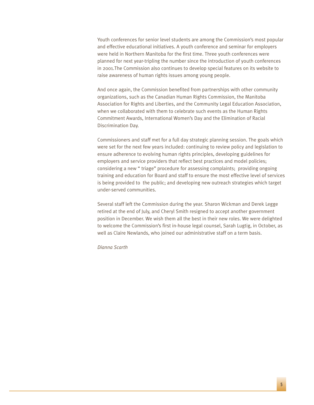Youth conferences for senior level students are among the Commission's most popular and effective educational initiatives. A youth conference and seminar for employers were held in Northern Manitoba for the first time. Three youth conferences were planned for next year-tripling the number since the introduction of youth conferences in 2001.The Commission also continues to develop special features on its website to raise awareness of human rights issues among young people.

And once again, the Commission benefited from partnerships with other community organizations, such as the Canadian Human Rights Commission, the Manitoba Association for Rights and Liberties, and the Community Legal Education Association, when we collaborated with them to celebrate such events as the Human Rights Commitment Awards, International Women's Day and the Elimination of Racial Discrimination Day.

Commissioners and staff met for a full day strategic planning session. The goals which were set for the next few years included: continuing to review policy and legislation to ensure adherence to evolving human rights principles, developing guidelines for employers and service providers that reflect best practices and model policies; considering a new " triage" procedure for assessing complaints; providing ongoing training and education for Board and staff to ensure the most effective level of services is being provided to the public; and developing new outreach strategies which target under-served communities.

Several staff left the Commission during the year. Sharon Wickman and Derek Legge retired at the end of July, and Cheryl Smith resigned to accept another government position in December. We wish them all the best in their new roles. We were delighted to welcome the Commission's first in-house legal counsel, Sarah Lugtig, in October, as well as Claire Newlands, who joined our administrative staff on a term basis.

*Dianna Scarth*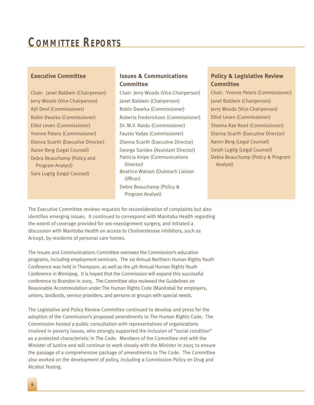# **COMMITTEE REPORTS**

#### **Executive Committee**

Chair: Janet Baldwin (Chairperson) Jerry Woods (Vice-Chairperson) Ajit Deol (Commissioner) Robin Dwarka (Commissioner) Elliot Leven (Commissioner) Yvonne Peters (Commissioner) Dianna Scarth (Executive Director) Aaron Berg (Legal Counsel) Debra Beauchamp (Policy and Program Analyst) Sara Lugtig (Legal Counsel)

### **Issues & Communications Committee**

Chair: Jerry Woods (Vice-Chairperson) Janet Baldwin (Chairperson) Robin Dwarka (Commissioner) Roberta Frederickson (Commissioner) Dr. M.V. Naidu (Commissioner) Fausto Yadao (Commissioner) Dianna Scarth (Executive Director) George Sarides (Assistant Director) Patricia Knipe (Communications Director) Beatrice Watson (Outreach Liaison Officer) Debra Beauchamp (Policy & Program Analyst)

### **Policy & Legislative Review Committee**

Chair: Yvonne Peters (Commissioner) Janet Baldwin (Chairperson) Jerry Woods (Vice-Chairperson) Elliot Leven (Commissioner) Sheena Rae Reed (Commissioner) Dianna Scarth (Executive Director) Aaron Berg (Legal Counsel) Sarah Lugtig (Legal Counsel) Debra Beauchamp (Policy & Program Analyst)

The Executive Committee reviews requests for reconsideration of complaints but also identifies emerging issues. It continued to correspond with Manitoba Health regarding the extent of coverage provided for sex-reassignment surgery, and initiated a discussion with Manitoba Health on access to Cholinesterase Inhibitors, such as Aricept, by residents of personal care homes.

The Issues and Communications Committee oversees the Commission's education programs, including employment seminars. The 1st Annual Northern Human Rights Youth Conference was held in Thompson, as well as the 4th Annual Human Rights Youth Conference in Winnipeg. It is hoped that the Commission will expand this successful conference to Brandon in 2005. The Committee also reviewed the Guidelines on Reasonable Accommodation under The Human Rights Code (Manitoba) for employers, unions, landlords, service providers, and persons or groups with special needs.

The Legislative and Policy Review Committee continued to develop and press for the adoption of the Commission's proposed amendments to The Human Rights Code. The Commission hosted a public consultation with representatives of organizations involved in poverty issues, who strongly supported the inclusion of "social condition" as a protected characteristic in The Code. Members of the Committee met with the Minister of Justice and will continue to work closely with the Minister in 2005 to ensure the passage of a comprehensive package of amendments to The Code. The Committee also worked on the development of policy, including a Commission Policy on Drug and Alcohol Testing.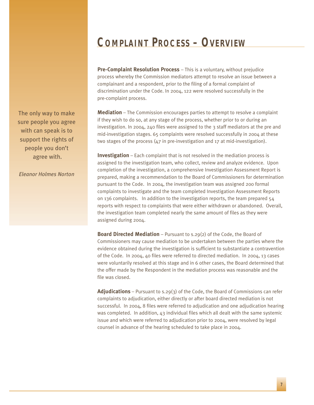# **COMPLAINT PROCESS – OVERVIEW**

**Pre-Complaint Resolution Process** – This is a voluntary, without prejudice process whereby the Commission mediators attempt to resolve an issue between a complainant and a respondent, prior to the filing of a formal complaint of discrimination under the Code. In 2004, 122 were resolved successfully in the pre-complaint process.

**Mediation** – The Commission encourages parties to attempt to resolve a complaint if they wish to do so, at any stage of the process, whether prior to or during an investigation. In 2004, 240 files were assigned to the 3 staff mediators at the pre and mid-investigation stages. 65 complaints were resolved successfully in 2004 at these two stages of the process (47 in pre-investigation and 17 at mid-investigation).

**Investigation** – Each complaint that is not resolved in the mediation process is assigned to the investigation team, who collect, review and analyze evidence. Upon completion of the investigation, a comprehensive Investigation Assessment Report is prepared, making a recommendation to the Board of Commissioners for determination pursuant to the Code. In 2004, the investigation team was assigned 200 formal complaints to investigate and the team completed Investigation Assessment Reports on 136 complaints. In addition to the investigation reports, the team prepared 54 reports with respect to complaints that were either withdrawn or abandoned. Overall, the investigation team completed nearly the same amount of files as they were assigned during 2004.

**Board Directed Mediation** – Pursuant to s.29(2) of the Code, the Board of Commissioners may cause mediation to be undertaken between the parties where the evidence obtained during the investigation is sufficient to substantiate a contravention of the Code. In 2004, 40 files were referred to directed mediation. In 2004, 13 cases were voluntarily resolved at this stage and in 6 other cases, the Board determined that the offer made by the Respondent in the mediation process was reasonable and the file was closed.

**Adjudications** – Pursuant to s.29(3) of the Code, the Board of Commissions can refer complaints to adjudication, either directly or after board directed mediation is not successful. In 2004, 8 files were referred to adjudication and one adjudication hearing was completed. In addition, 43 individual files which all dealt with the same systemic issue and which were referred to adjudication prior to 2004, were resolved by legal counsel in advance of the hearing scheduled to take place in 2004.

The only way to make sure people you agree with can speak is to support the rights of people you don't agree with.

*Eleanor Holmes Norton*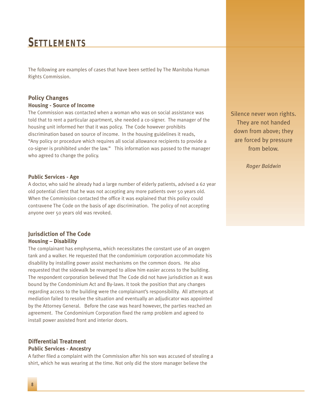# **SETTLEMENTS**

The following are examples of cases that have been settled by The Manitoba Human Rights Commission.

## **Policy Changes Housing - Source of Income**

The Commission was contacted when a woman who was on social assistance was told that to rent a particular apartment, she needed a co-signer. The manager of the housing unit informed her that it was policy. The Code however prohibits discrimination based on source of income. In the housing guidelines it reads, "Any policy or procedure which requires all social allowance recipients to provide a co-signer is prohibited under the law." This information was passed to the manager who agreed to change the policy.

#### **Public Services - Age**

A doctor, who said he already had a large number of elderly patients, advised a 62 year old potential client that he was not accepting any more patients over 50 years old. When the Commission contacted the office it was explained that this policy could contravene The Code on the basis of age discrimination. The policy of not accepting anyone over 50 years old was revoked.

### **Jurisdiction of The Code Housing – Disability**

The complainant has emphysema, which necessitates the constant use of an oxygen tank and a walker. He requested that the condominium corporation accommodate his disability by installing power assist mechanisms on the common doors. He also requested that the sidewalk be revamped to allow him easier access to the building. The respondent corporation believed that The Code did not have jurisdiction as it was bound by the Condominium Act and By-laws. It took the position that any changes regarding access to the building were the complainant's responsibility. All attempts at mediation failed to resolve the situation and eventually an adjudicator was appointed by the Attorney General. Before the case was heard however, the parties reached an agreement. The Condominium Corporation fixed the ramp problem and agreed to install power assisted front and interior doors.

#### **Differential Treatment Public Services - Ancestry**

A father filed a complaint with the Commission after his son was accused of stealing a shirt, which he was wearing at the time. Not only did the store manager believe the

Silence never won rights. They are not handed down from above; they are forced by pressure from below.

*Roger Baldwin*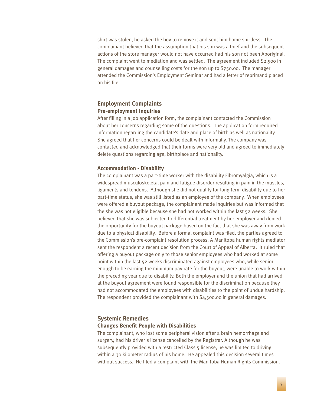shirt was stolen, he asked the boy to remove it and sent him home shirtless. The complainant believed that the assumption that his son was a thief and the subsequent actions of the store manager would not have occurred had his son not been Aboriginal. The complaint went to mediation and was settled. The agreement included \$2,500 in general damages and counselling costs for the son up to \$750.00. The manager attended the Commission's Employment Seminar and had a letter of reprimand placed on his file.

#### **Employment Complaints Pre-employment Inquiries**

After filling in a job application form, the complainant contacted the Commission about her concerns regarding some of the questions. The application form required information regarding the candidate's date and place of birth as well as nationality. She agreed that her concerns could be dealt with informally. The company was contacted and acknowledged that their forms were very old and agreed to immediately delete questions regarding age, birthplace and nationality.

#### **Accommodation - Disability**

The complainant was a part-time worker with the disability Fibromyalgia, which is a widespread musculoskeletal pain and fatigue disorder resulting in pain in the muscles, ligaments and tendons. Although she did not qualify for long term disability due to her part-time status, she was still listed as an employee of the company. When employees were offered a buyout package, the complainant made inquiries but was informed that the she was not eligible because she had not worked within the last 52 weeks. She believed that she was subjected to differential treatment by her employer and denied the opportunity for the buyout package based on the fact that she was away from work due to a physical disability. Before a formal complaint was filed, the parties agreed to the Commission's pre-complaint resolution process. A Manitoba human rights mediator sent the respondent a recent decision from the Court of Appeal of Alberta. It ruled that offering a buyout package only to those senior employees who had worked at some point within the last 52 weeks discriminated against employees who, while senior enough to be earning the minimum pay rate for the buyout, were unable to work within the preceding year due to disability. Both the employer and the union that had arrived at the buyout agreement were found responsible for the discrimination because they had not accommodated the employees with disabilities to the point of undue hardship. The respondent provided the complainant with \$4,500.00 in general damages.

### **Systemic Remedies Changes Benefit People with Disabilities**

The complainant, who lost some peripheral vision after a brain hemorrhage and surgery, had his driver's license cancelled by the Registrar. Although he was subsequently provided with a restricted Class 5 license, he was limited to driving within a 30 kilometer radius of his home. He appealed this decision several times without success. He filed a complaint with the Manitoba Human Rights Commission.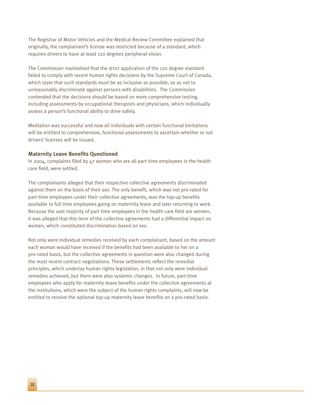The Registrar of Motor Vehicles and the Medical Review Committee explained that originally, the complainant's license was restricted because of a standard, which requires drivers to have at least 120 degrees peripheral vision.

The Commission maintained that the strict application of the 120 degree standard failed to comply with recent human rights decisions by the Supreme Court of Canada, which state that such standards must be as inclusive as possible, so as not to unreasonably discriminate against persons with disabilities. The Commission contended that the decisions should be based on more comprehensive testing, including assessments by occupational therapists and physicians, which individually assess a person's functional ability to drive safely.

Mediation was successful and now all individuals with certain functional limitations will be entitled to comprehensive, functional assessments to ascertain whether or not drivers' licenses will be issued.

#### **Maternity Leave Benefits Questioned**

In 2004, complaints filed by 47 women who are all part-time employees in the health care field, were settled.

The complainants alleged that their respective collective agreements discriminated against them on the basis of their sex. The only benefit, which was not pro-rated for part-time employees under their collective agreements, was the top-up benefits available to full time employees going on maternity leave and later returning to work. Because the vast majority of part time employees in the health care field are women, it was alleged that this term of the collective agreements had a differential impact on women, which constituted discrimination based on sex.

Not only were individual remedies received by each complainant, based on the amount each woman would have received if the benefits had been available to her on a pro-rated basis, but the collective agreements in question were also changed during the most recent contract negotiations. These settlements reflect the remedial principles, which underlay human rights legislation, in that not only were individual remedies achieved, but there were also systemic changes. In future, part-time employees who apply for maternity-leave benefits under the collective agreements at the institutions, which were the subject of the human rights complaints, will now be entitled to receive the optional top-up maternity leave benefits on a pro-rated basis.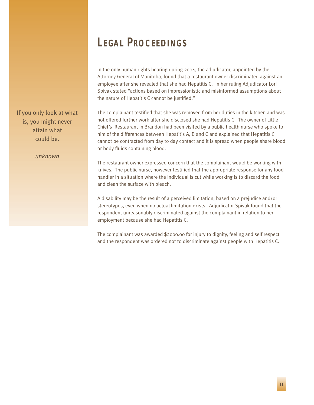# **LEGAL PROCEEDINGS**

In the only human rights hearing during 2004, the adjudicator, appointed by the Attorney General of Manitoba, found that a restaurant owner discriminated against an employee after she revealed that she had Hepatitis C. In her ruling Adjudicator Lori Spivak stated "actions based on impressionistic and misinformed assumptions about the nature of Hepatitis C cannot be justified."

The complainant testified that she was removed from her duties in the kitchen and was not offered further work after she disclosed she had Hepatitis C. The owner of Little Chief's Restaurant in Brandon had been visited by a public health nurse who spoke to him of the differences between Hepatitis A, B and C and explained that Hepatitis C cannot be contracted from day to day contact and it is spread when people share blood or body fluids containing blood.

The restaurant owner expressed concern that the complainant would be working with knives. The public nurse, however testified that the appropriate response for any food handler in a situation where the individual is cut while working is to discard the food and clean the surface with bleach.

A disability may be the result of a perceived limitation, based on a prejudice and/or stereotypes, even when no actual limitation exists. Adjudicator Spivak found that the respondent unreasonably discriminated against the complainant in relation to her employment because she had Hepatitis C.

The complainant was awarded \$2000.00 for injury to dignity, feeling and self respect and the respondent was ordered not to discriminate against people with Hepatitis C.

If you only look at what is, you might never attain what could be.

*unknown*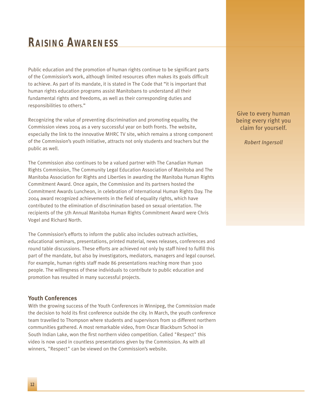# **RAISING AWARENESS**

Public education and the promotion of human rights continue to be significant parts of the Commission's work, although limited resources often makes its goals difficult to achieve. As part of its mandate, it is stated in The Code that "it is important that human rights education programs assist Manitobans to understand all their fundamental rights and freedoms, as well as their corresponding duties and responsibilities to others."

Recognizing the value of preventing discrimination and promoting equality, the Commission views 2004 as a very successful year on both fronts. The website, especially the link to the innovative MHRC TV site, which remains a strong component of the Commission's youth initiative, attracts not only students and teachers but the public as well.

The Commission also continues to be a valued partner with The Canadian Human Rights Commission, The Community Legal Education Association of Manitoba and The Manitoba Association for Rights and Liberties in awarding the Manitoba Human Rights Commitment Award. Once again, the Commission and its partners hosted the Commitment Awards Luncheon, in celebration of International Human Rights Day. The 2004 award recognized achievements in the field of equality rights, which have contributed to the elimination of discrimination based on sexual orientation. The recipients of the 5th Annual Manitoba Human Rights Commitment Award were Chris Vogel and Richard North.

The Commission's efforts to inform the public also includes outreach activities, educational seminars, presentations, printed material, news releases, conferences and round table discussions. These efforts are achieved not only by staff hired to fulfill this part of the mandate, but also by investigators, mediators, managers and legal counsel. For example, human rights staff made 86 presentations reaching more than 3100 people. The willingness of these individuals to contribute to public education and promotion has resulted in many successful projects.

#### **Youth Conferences**

With the growing success of the Youth Conferences in Winnipeg, the Commission made the decision to hold its first conference outside the city. In March, the youth conference team travelled to Thompson where students and supervisors from 10 different northern communities gathered. A most remarkable video, from Oscar Blackburn School in South Indian Lake, won the first northern video competition. Called "Respect" this video is now used in countless presentations given by the Commission. As with all winners, "Respect" can be viewed on the Commission's website.

Give to every human being every right you claim for yourself.

*Robert Ingersoll*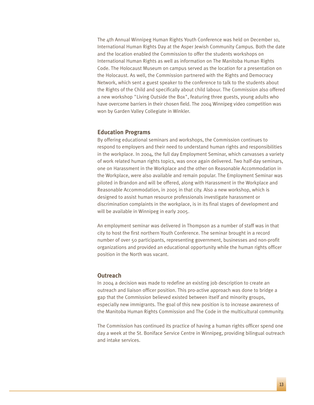The 4th Annual Winnipeg Human Rights Youth Conference was held on December 10, International Human Rights Day at the Asper Jewish Community Campus. Both the date and the location enabled the Commission to offer the students workshops on International Human Rights as well as information on The Manitoba Human Rights Code. The Holocaust Museum on campus served as the location for a presentation on the Holocaust. As well, the Commission partnered with the Rights and Democracy Network, which sent a guest speaker to the conference to talk to the students about the Rights of the Child and specifically about child labour. The Commission also offered a new workshop "Living Outside the Box", featuring three guests, young adults who have overcome barriers in their chosen field. The 2004 Winnipeg video competition was won by Garden Valley Collegiate in Winkler.

#### **Education Programs**

By offering educational seminars and workshops, the Commission continues to respond to employers and their need to understand human rights and responsibilities in the workplace. In 2004, the full day Employment Seminar, which canvasses a variety of work related human rights topics, was once again delivered. Two half-day seminars, one on Harassment in the Workplace and the other on Reasonable Accommodation in the Workplace, were also available and remain popular. The Employment Seminar was piloted in Brandon and will be offered, along with Harassment in the Workplace and Reasonable Accommodation, in 2005 in that city. Also a new workshop, which is designed to assist human resource professionals investigate harassment or discrimination complaints in the workplace, is in its final stages of development and will be available in Winnipeg in early 2005.

An employment seminar was delivered in Thompson as a number of staff was in that city to host the first northern Youth Conference. The seminar brought in a record number of over 50 participants, representing government, businesses and non-profit organizations and provided an educational opportunity while the human rights officer position in the North was vacant.

#### **Outreach**

In 2004 a decision was made to redefine an existing job description to create an outreach and liaison officer position. This pro-active approach was done to bridge a gap that the Commission believed existed between itself and minority groups, especially new immigrants. The goal of this new position is to increase awareness of the Manitoba Human Rights Commission and The Code in the multicultural community.

The Commission has continued its practice of having a human rights officer spend one day a week at the St. Boniface Service Centre in Winnipeg, providing bilingual outreach and intake services.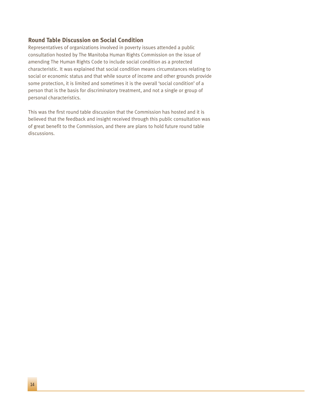#### **Round Table Discussion on Social Condition**

Representatives of organizations involved in poverty issues attended a public consultation hosted by The Manitoba Human Rights Commission on the issue of amending The Human Rights Code to include social condition as a protected characteristic. It was explained that social condition means circumstances relating to social or economic status and that while source of income and other grounds provide some protection, it is limited and sometimes it is the overall 'social condition' of a person that is the basis for discriminatory treatment, and not a single or group of personal characteristics.

This was the first round table discussion that the Commission has hosted and it is believed that the feedback and insight received through this public consultation was of great benefit to the Commission, and there are plans to hold future round table discussions.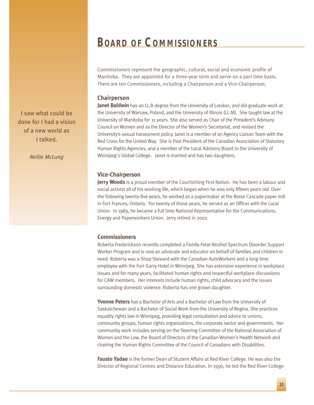# **BOARD OF COMMISSIONERS**

Commissioners represent the geographic, cultural, social and economic profile of Manitoba. They are appointed for a three-year term and serve on a part time basis. There are ten Commissioners, including a Chairperson and a Vice-Chairperson.

#### **Chairperson**

**Janet Baldwin** has an LL.B degree from the University of London, and did graduate work at the University of Warsaw, Poland, and the University of Illinois (LL.M). She taught law at the University of Manitoba for 31 years. She also served as Chair of the President's Advisory Council on Women and as the Director of the Women's Secretariat, and revised the University's sexual harassment policy. Janet is a member of an Agency Liaison Team with the Red Cross for the United Way. She is Past President of the Canadian Association of Statutory Human Rights Agencies, and a member of the Local Advisory Board to the University of Winnipeg's Global College. Janet is married and has two daughters.

#### **Vice-Chairperson**

**Jerry Woods** is a proud member of the Couchiching First Nation. He has been a labour and social activist all of his working life, which began when he was only fifteen years old. Over the following twenty-five years, he worked as a papermaker at the Boise Cascade paper mill in Fort Frances, Ontario. For twenty of those years, he served as an Officer with the Local Union. In 1989, he became a full time National Representative for the Communications, Energy and Paperworkers Union. Jerry retired in 2002.

#### **Commissioners**

Roberta Frederickson recently completed a Family Fetal Alcohol Spectrum Disorder Support Worker Program and is now an advocate and educator on behalf of families and children in need. Roberta was a Shop Steward with the Canadian AutoWorkers and a long time employee with the Fort Garry Hotel in Winnipeg. She has extensive experience in workplace issues and for many years, facilitated human rights and respectful workplace discussions for CAW members. Her interests include human rights, child advocacy and the issues surrounding domestic violence. Roberta has one grown daughter.

**Yvonne Peters** has a Bachelor of Arts and a Bachelor of Law from the University of Saskatchewan and a Bachelor of Social Work from the University of Regina. She practices equality rights law in Winnipeg, providing legal consultation and advice to unions, community groups, human rights organizations, the corporate sector and governments. Her community work includes serving on the Steering Committee of the National Association of Women and the Law, the Board of Directors of the Canadian Women's Health Network and chairing the Human Rights Committee of the Council of Canadians with Disabilities.

**Fausto Yadao** is the former Dean of Student Affairs at Red River College. He was also the Director of Regional Centres and Distance Education. In 1990, he led the Red River College

I saw what could be done for I had a vision of a new world as I talked.

*Nellie McLung*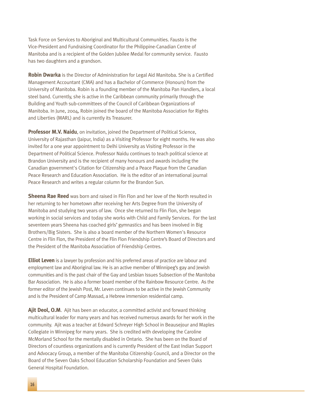Task Force on Services to Aboriginal and Multicultural Communities. Fausto is the Vice-President and Fundraising Coordinator for the Philippine-Canadian Centre of Manitoba and is a recipient of the Golden Jubilee Medal for community service. Fausto has two daughters and a grandson.

**Robin Dwarka** is the Director of Administration for Legal Aid Manitoba. She is a Certified Management Accountant (CMA) and has a Bachelor of Commerce (Honours) from the University of Manitoba. Robin is a founding member of the Manitoba Pan Handlers, a local steel band. Currently, she is active in the Caribbean community primarily through the Building and Youth sub-committees of the Council of Caribbean Organizations of Manitoba. In June, 2004, Robin joined the board of the Manitoba Association for Rights and Liberties (MARL) and is currently its Treasurer.

**Professor M.V. Naidu**, on invitation, joined the Department of Political Science, University of Rajasthan (Jaipur, India) as a Visiting Professor for eight months. He was also invited for a one year appointment to Delhi University as Visiting Professor in the Department of Political Science. Professor Naidu continues to teach political science at Brandon University and is the recipient of many honours and awards including the Canadian government's Citation for Citizenship and a Peace Plaque from the Canadian Peace Research and Education Association. He is the editor of an international journal Peace Research and writes a regular column for the Brandon Sun.

**Sheena Rae Reed** was born and raised in Flin Flon and her love of the North resulted in her returning to her hometown after receiving her Arts Degree from the University of Manitoba and studying two years of law. Once she returned to Flin Flon, she began working in social services and today she works with Child and Family Services. For the last seventeen years Sheena has coached girls' gymnastics and has been involved in Big Brothers/Big Sisters. She is also a board member of the Northern Women's Resource Centre in Flin Flon, the President of the Flin Flon Friendship Centre's Board of Directors and the President of the Manitoba Association of Friendship Centres.

**Elliot Leven** is a lawyer by profession and his preferred areas of practice are labour and employment law and Aboriginal law. He is an active member of Winnipeg's gay and Jewish communities and is the past chair of the Gay and Lesbian Issues Subsection of the Manitoba Bar Association. He is also a former board member of the Rainbow Resource Centre. As the former editor of the Jewish Post, Mr. Leven continues to be active in the Jewish Community and is the President of Camp Massad, a Hebrew immersion residential camp.

**Ajit Deol, O.M**. Ajit has been an educator, a committed activist and forward thinking multicultural leader for many years and has received numerous awards for her work in the community. Ajit was a teacher at Edward Schreyer High School in Beausejour and Maples Collegiate in Winnipeg for many years. She is credited with developing the Caroline McMorland School for the mentally disabled in Ontario. She has been on the Board of Directors of countless organizations and is currently President of the East Indian Support and Advocacy Group, a member of the Manitoba Citizenship Council, and a Director on the Board of the Seven Oaks School Education Scholarship Foundation and Seven Oaks General Hospital Foundation.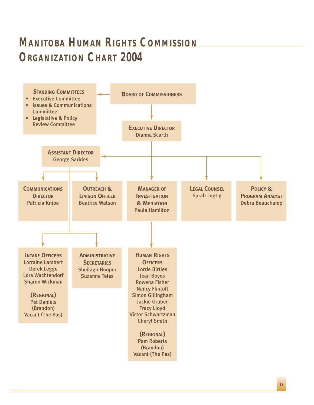# **MANITOBA HUMAN RIGHTS COMMISSION ORGANIZATION CHART 2004**

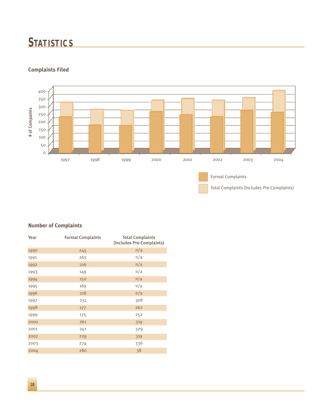# **STATISTICS**



### **Complaints Filed**

### **Number of Complaints**

| Year | <b>Formal Complaints</b> | <b>Total Complaints</b><br>(Includes Pre-Complaints) |
|------|--------------------------|------------------------------------------------------|
| 1990 | 245                      | n/a                                                  |
| 1991 | 265                      | n/a                                                  |
| 1992 | 216                      | n/a                                                  |
| 1993 | 149                      | n/a                                                  |
| 1994 | 150                      | n/a                                                  |
| 1995 | 169                      | n/a                                                  |
| 1996 | 218                      | n/a                                                  |
| 1997 | 231                      | 308                                                  |
| 1998 | 177                      | 262                                                  |
| 1999 | 175                      | 252                                                  |
| 2000 | 261                      | 319                                                  |
| 2001 | 241                      | 329                                                  |
| 2002 | 229                      | 319                                                  |
| 2003 | 274                      | 336                                                  |
| 2004 | 260                      | 38                                                   |
|      |                          |                                                      |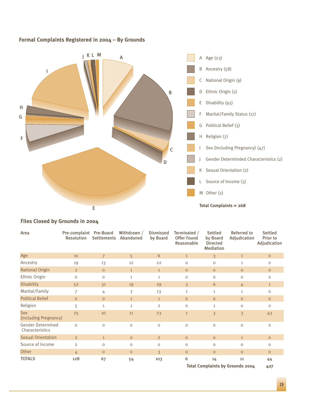### **Formal Complaints Registered in 2004 – By Grounds**



### **Files Closed by Grounds in 2004**

| Area                                        | Pre-complaint Pre-Board<br><b>Resolution</b> | <b>Settlements</b> | Withdrawn /<br>Abandoned | <b>Dismissed</b><br>by Board | Terminated /<br><b>Offer Found</b><br>Reasonable | <b>Settled</b><br>by Board<br><b>Directed</b><br><b>Mediation</b> | <b>Referred to</b><br>Adjudication      | <b>Settled</b><br>Prior to<br>Adjudication |
|---------------------------------------------|----------------------------------------------|--------------------|--------------------------|------------------------------|--------------------------------------------------|-------------------------------------------------------------------|-----------------------------------------|--------------------------------------------|
| Age                                         | 10                                           | $\overline{7}$     | 5                        | 6                            | 1                                                | $\overline{3}$                                                    | $\mathbf{1}$                            | $\circ$                                    |
| Ancestry                                    | 19                                           | 13                 | 12                       | 22                           | $\circ$                                          | 0                                                                 | $\mathbf{1}$                            | $\circ$                                    |
| <b>National Origin</b>                      | $\overline{2}$                               | $\circ$            | $\mathbf{1}$             | $\mathbf{1}$                 | $\circ$                                          | $\circ$                                                           | $\circ$                                 | $\circ$                                    |
| Ethnic Origin                               | $\circ$                                      | $\circ$            | $\mathbf{1}$             | $\mathbf{1}$                 | $\circ$                                          | O                                                                 | $\circ$                                 | $\circ$                                    |
| <b>Disability</b>                           | 52                                           | 31                 | 19                       | 29                           | $\overline{\mathbf{3}}$                          | 6                                                                 | 4                                       | $\mathbf{1}$                               |
| Marital/Family                              | 7                                            | 4                  | 3                        | 13                           | $\mathbf{1}$                                     | $\mathbf{1}$                                                      | $\mathbf{1}$                            | $\circ$                                    |
| <b>Political Belief</b>                     | $\circ$                                      | $\circ$            | $\mathbf{1}$             | $\mathbf{1}$                 | $\circ$                                          | $\circ$                                                           | $\circ$                                 | $\circ$                                    |
| Religion                                    | 5                                            | $\mathbf{1}$       | $\mathbf{1}$             | $\overline{2}$               | $\Omega$                                         | $\mathbf{1}$                                                      | $\Omega$                                | $\Omega$                                   |
| <b>Sex</b><br>(including Pregnancy)         | 25                                           | 10                 | 11                       | 23                           | $\mathbf{1}$                                     | 3                                                                 | $\overline{\mathcal{E}}$                | 43                                         |
| <b>Gender Determined</b><br>Characteristics | $\circ$                                      | $\circ$            | $\circ$                  | $\mathsf O$                  | $\circ$                                          | $\circ$                                                           | $\mathsf O$                             | $\mathsf O$                                |
| <b>Sexual Orientation</b>                   | $\overline{2}$                               | $\mathbf{1}$       | $\circ$                  | $\overline{2}$               | $\circ$                                          | $\circ$                                                           | $\mathbf{1}$                            | $\circ$                                    |
| Source of Income                            | $\overline{2}$                               | $\circ$            | $\circ$                  | $\circ$                      | $\circ$                                          | O                                                                 | $\circ$                                 | $\circ$                                    |
| Other                                       | 4                                            | $\circ$            | $\circ$                  | 3                            | $\circ$                                          | $\overline{O}$                                                    | $\circ$                                 | $\circ$                                    |
| <b>TOTALS</b>                               | 128                                          | 67                 | 54                       | 103                          | 6                                                | 14                                                                | 11                                      | 44                                         |
|                                             |                                              |                    |                          |                              |                                                  |                                                                   | <b>Total Complaints by Grounds 2004</b> | 427                                        |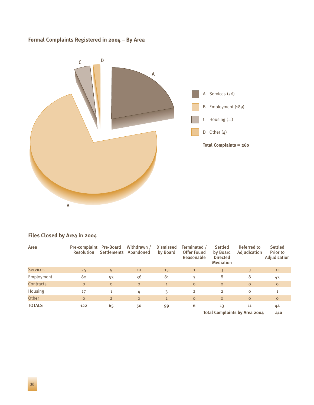### **Formal Complaints Registered in 2004 – By Area**



### **Files Closed by Area in 2004**

| Area            | Pre-complaint Pre-Board<br><b>Resolution</b> |                | Withdrawn /<br>Settlements Abandoned | <b>Dismissed</b><br>by Board | Terminated /<br><b>Offer Found</b><br>Reasonable | <b>Settled</b><br>by Board<br><b>Directed</b><br><b>Mediation</b> | Referred to<br>Adjudication   | <b>Settled</b><br><b>Prior to</b><br>Adjudication |
|-----------------|----------------------------------------------|----------------|--------------------------------------|------------------------------|--------------------------------------------------|-------------------------------------------------------------------|-------------------------------|---------------------------------------------------|
| <b>Services</b> | 25                                           | 9              | 10                                   | 13                           |                                                  | $\overline{3}$                                                    | 3                             | $\circ$                                           |
| Employment      | 80                                           | 53             | 36                                   | 81                           | 3                                                | 8                                                                 | 8                             | 43                                                |
| Contracts       | $\circ$                                      | $\circ$        | $\circ$                              | $\mathbf{1}$                 | $\circ$                                          | $\circ$                                                           | $\circ$                       | $\circ$                                           |
| Housing         | 17                                           | $\mathbf{1}$   | 4                                    | 3                            | $\overline{2}$                                   | $\overline{2}$                                                    | $\circ$                       | $\mathbf{1}$                                      |
| Other           | $\circ$                                      | $\overline{2}$ | $\circ$                              | $\mathbf{1}$                 | $\circ$                                          | $\circ$                                                           | $\circ$                       | $\circ$                                           |
| <b>TOTALS</b>   | 122                                          | 65             | 50                                   | 99                           | 6                                                | 13                                                                | 11                            | 44                                                |
|                 |                                              |                |                                      |                              |                                                  |                                                                   | Total Complaints by Area 2004 | 410                                               |